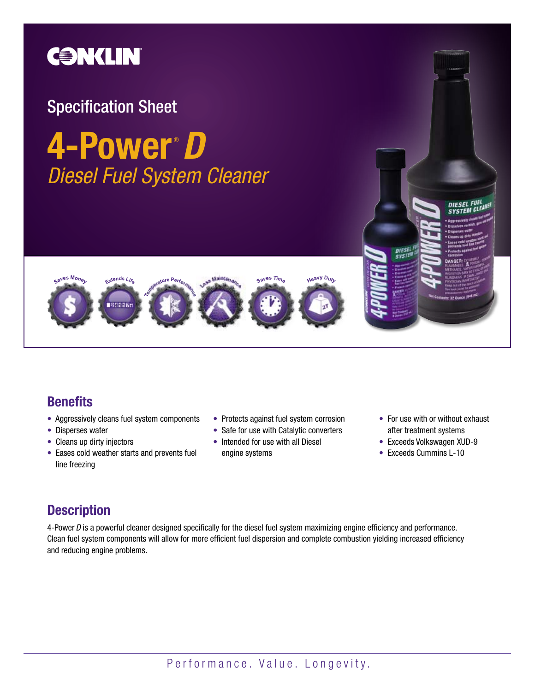

# Specification Sheet

# **4-Power** *D Diesel Fuel System Cleaner* ®



## **Benefits**

- Aggressively cleans fuel system components
- Disperses water
- Cleans up dirty injectors
- Eases cold weather starts and prevents fuel line freezing
- Protects against fuel system corrosion
- Safe for use with Catalytic converters
- Intended for use with all Diesel engine systems
- For use with or without exhaust after treatment systems
- Exceeds Volkswagen XUD-9
- Exceeds Cummins L-10

# **Description**

4-Power *D* is a powerful cleaner designed specifically for the diesel fuel system maximizing engine efficiency and performance. Clean fuel system components will allow for more efficient fuel dispersion and complete combustion yielding increased efficiency and reducing engine problems.